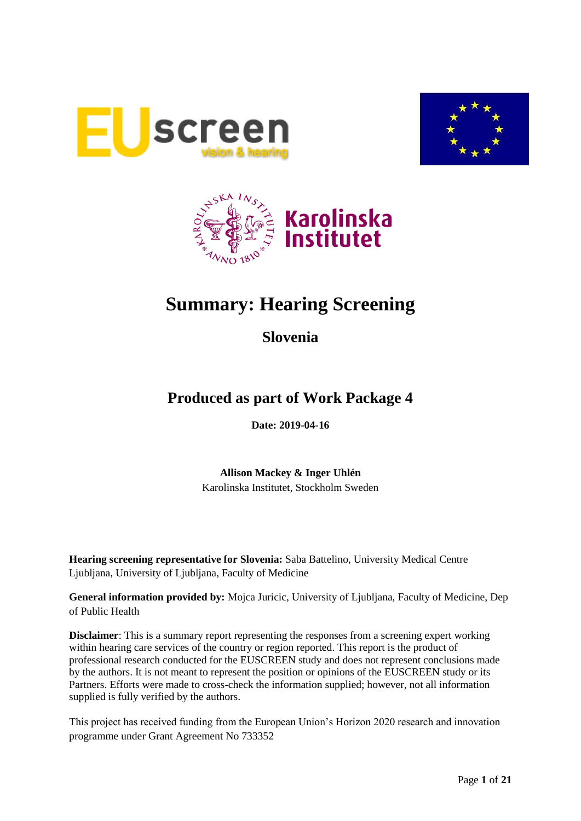





# **Summary: Hearing Screening**

**Slovenia**

# **Produced as part of Work Package 4**

**Date: 2019-04-16**

**Allison Mackey & Inger Uhlén** Karolinska Institutet, Stockholm Sweden

**Hearing screening representative for Slovenia:** Saba Battelino, University Medical Centre Ljubljana, University of Ljubljana, Faculty of Medicine

**General information provided by:** Mojca Juricic, University of Ljubljana, Faculty of Medicine, Dep of Public Health

**Disclaimer**: This is a summary report representing the responses from a screening expert working within hearing care services of the country or region reported. This report is the product of professional research conducted for the EUSCREEN study and does not represent conclusions made by the authors. It is not meant to represent the position or opinions of the EUSCREEN study or its Partners. Efforts were made to cross-check the information supplied; however, not all information supplied is fully verified by the authors.

This project has received funding from the European Union's Horizon 2020 research and innovation programme under Grant Agreement No 733352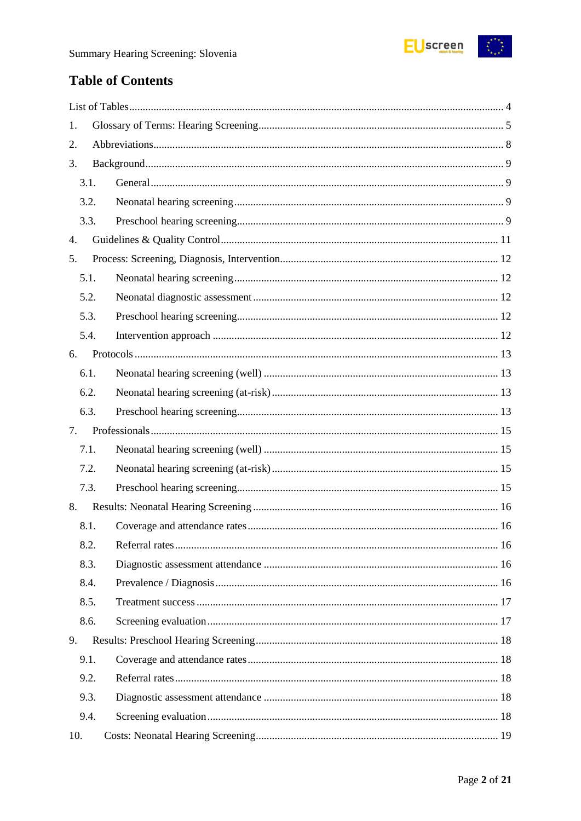

# **Table of Contents**

| 1.   |  |  |  |  |  |
|------|--|--|--|--|--|
| 2.   |  |  |  |  |  |
| 3.   |  |  |  |  |  |
| 3.1. |  |  |  |  |  |
| 3.2. |  |  |  |  |  |
| 3.3. |  |  |  |  |  |
| 4.   |  |  |  |  |  |
| 5.   |  |  |  |  |  |
| 5.1. |  |  |  |  |  |
| 5.2. |  |  |  |  |  |
| 5.3. |  |  |  |  |  |
| 5.4. |  |  |  |  |  |
| 6.   |  |  |  |  |  |
| 6.1. |  |  |  |  |  |
| 6.2. |  |  |  |  |  |
| 6.3. |  |  |  |  |  |
| 7.   |  |  |  |  |  |
| 7.1. |  |  |  |  |  |
| 7.2. |  |  |  |  |  |
| 7.3. |  |  |  |  |  |
| 8.   |  |  |  |  |  |
| 8.1. |  |  |  |  |  |
| 8.2. |  |  |  |  |  |
| 8.3. |  |  |  |  |  |
| 8.4. |  |  |  |  |  |
| 8.5. |  |  |  |  |  |
| 8.6. |  |  |  |  |  |
| 9.   |  |  |  |  |  |
| 9.1. |  |  |  |  |  |
| 9.2. |  |  |  |  |  |
| 9.3. |  |  |  |  |  |
| 9.4. |  |  |  |  |  |
| 10.  |  |  |  |  |  |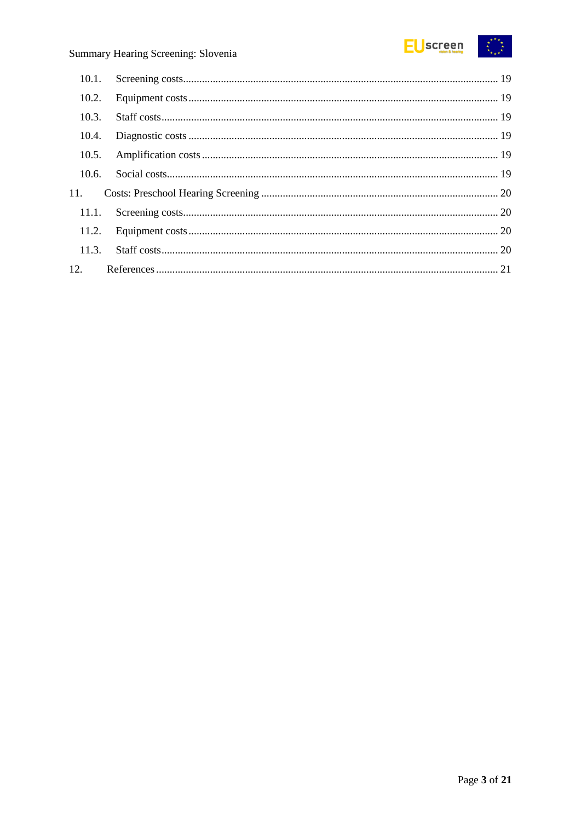

| 10.1. |  |
|-------|--|
| 10.2. |  |
| 10.3. |  |
| 10.4. |  |
| 10.5. |  |
| 10.6. |  |
| 11.   |  |
| 11.1. |  |
|       |  |
|       |  |
|       |  |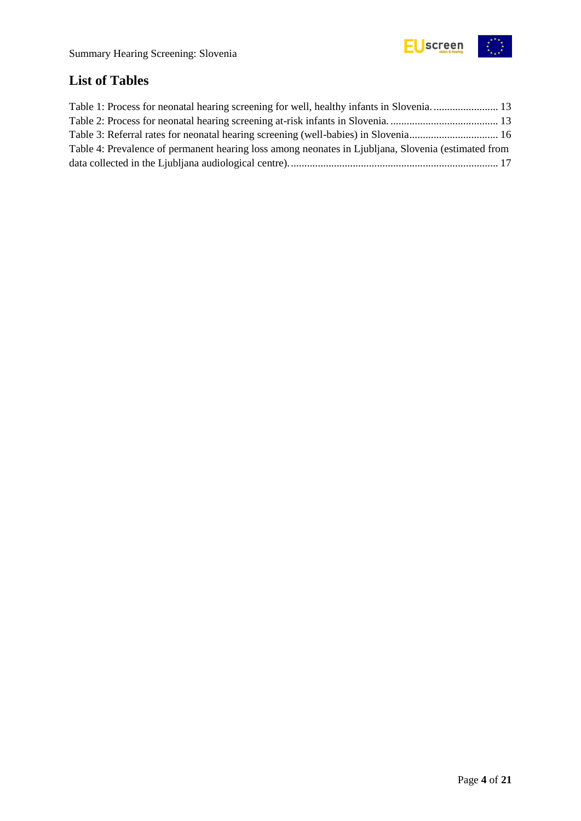

# <span id="page-3-0"></span>**List of Tables**

| Table 1: Process for neonatal hearing screening for well, healthy infants in Slovenia 13            |  |
|-----------------------------------------------------------------------------------------------------|--|
|                                                                                                     |  |
| Table 3: Referral rates for neonatal hearing screening (well-babies) in Slovenia 16                 |  |
| Table 4: Prevalence of permanent hearing loss among neonates in Ljubljana, Slovenia (estimated from |  |
|                                                                                                     |  |
|                                                                                                     |  |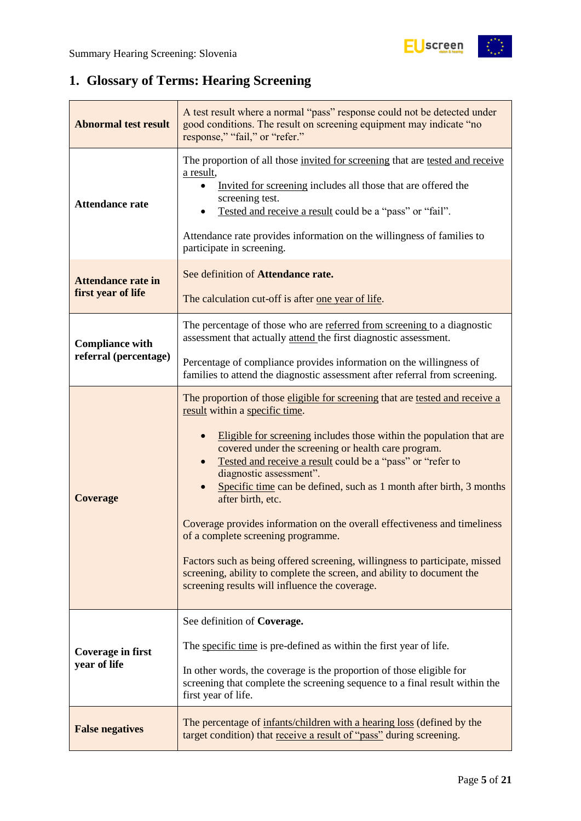$\frac{1}{2}$ 

# <span id="page-4-0"></span>**1. Glossary of Terms: Hearing Screening**

| A test result where a normal "pass" response could not be detected under<br>good conditions. The result on screening equipment may indicate "no<br><b>Abnormal test result</b><br>response," "fail," or "refer."                                                                                                            |                                                                                                                                                                                                                                                                                                                                                                                                                                                                                                                                                                                                                                                                                                                                                                  |  |  |  |
|-----------------------------------------------------------------------------------------------------------------------------------------------------------------------------------------------------------------------------------------------------------------------------------------------------------------------------|------------------------------------------------------------------------------------------------------------------------------------------------------------------------------------------------------------------------------------------------------------------------------------------------------------------------------------------------------------------------------------------------------------------------------------------------------------------------------------------------------------------------------------------------------------------------------------------------------------------------------------------------------------------------------------------------------------------------------------------------------------------|--|--|--|
| <b>Attendance rate</b>                                                                                                                                                                                                                                                                                                      | The proportion of all those invited for screening that are tested and receive<br>a result,<br>Invited for screening includes all those that are offered the<br>screening test.<br>Tested and receive a result could be a "pass" or "fail".<br>Attendance rate provides information on the willingness of families to<br>participate in screening.                                                                                                                                                                                                                                                                                                                                                                                                                |  |  |  |
| See definition of Attendance rate.<br><b>Attendance rate in</b><br>first year of life<br>The calculation cut-off is after one year of life.                                                                                                                                                                                 |                                                                                                                                                                                                                                                                                                                                                                                                                                                                                                                                                                                                                                                                                                                                                                  |  |  |  |
| <b>Compliance with</b><br>referral (percentage)                                                                                                                                                                                                                                                                             | The percentage of those who are referred from screening to a diagnostic<br>assessment that actually attend the first diagnostic assessment.<br>Percentage of compliance provides information on the willingness of                                                                                                                                                                                                                                                                                                                                                                                                                                                                                                                                               |  |  |  |
|                                                                                                                                                                                                                                                                                                                             | families to attend the diagnostic assessment after referral from screening.                                                                                                                                                                                                                                                                                                                                                                                                                                                                                                                                                                                                                                                                                      |  |  |  |
| <b>Coverage</b>                                                                                                                                                                                                                                                                                                             | The proportion of those eligible for screening that are tested and receive a<br>result within a specific time.<br>Eligible for screening includes those within the population that are<br>covered under the screening or health care program.<br>Tested and receive a result could be a "pass" or "refer to<br>diagnostic assessment".<br>Specific time can be defined, such as 1 month after birth, 3 months<br>after birth, etc.<br>Coverage provides information on the overall effectiveness and timeliness<br>of a complete screening programme.<br>Factors such as being offered screening, willingness to participate, missed<br>screening, ability to complete the screen, and ability to document the<br>screening results will influence the coverage. |  |  |  |
| See definition of Coverage.<br>The specific time is pre-defined as within the first year of life.<br><b>Coverage in first</b><br>year of life<br>In other words, the coverage is the proportion of those eligible for<br>screening that complete the screening sequence to a final result within the<br>first year of life. |                                                                                                                                                                                                                                                                                                                                                                                                                                                                                                                                                                                                                                                                                                                                                                  |  |  |  |
| <b>False negatives</b>                                                                                                                                                                                                                                                                                                      | The percentage of infants/children with a hearing loss (defined by the<br>target condition) that receive a result of "pass" during screening.                                                                                                                                                                                                                                                                                                                                                                                                                                                                                                                                                                                                                    |  |  |  |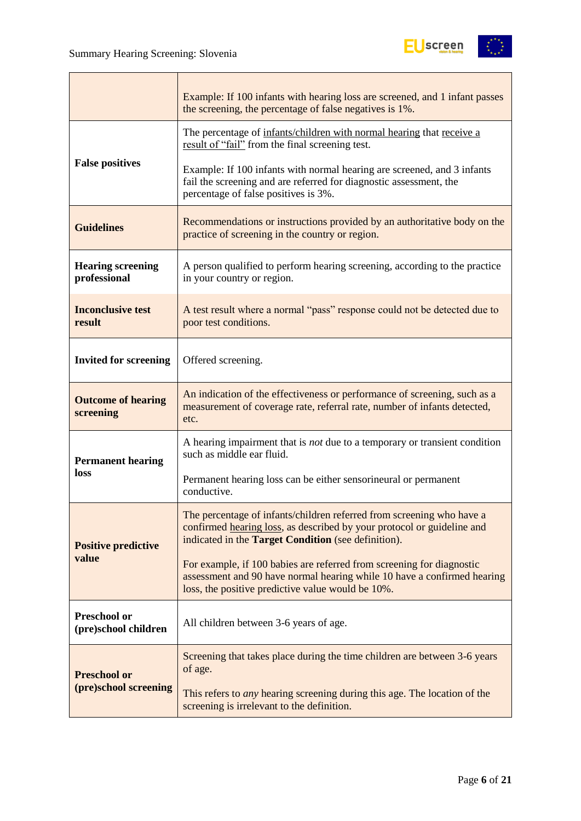

|                                                                                                                                                  | Example: If 100 infants with hearing loss are screened, and 1 infant passes<br>the screening, the percentage of false negatives is 1%.                                                                 |  |  |
|--------------------------------------------------------------------------------------------------------------------------------------------------|--------------------------------------------------------------------------------------------------------------------------------------------------------------------------------------------------------|--|--|
|                                                                                                                                                  | The percentage of infants/children with normal hearing that receive a<br>result of "fail" from the final screening test.                                                                               |  |  |
| <b>False positives</b>                                                                                                                           | Example: If 100 infants with normal hearing are screened, and 3 infants<br>fail the screening and are referred for diagnostic assessment, the<br>percentage of false positives is 3%.                  |  |  |
| Recommendations or instructions provided by an authoritative body on the<br><b>Guidelines</b><br>practice of screening in the country or region. |                                                                                                                                                                                                        |  |  |
| <b>Hearing screening</b><br>professional                                                                                                         | A person qualified to perform hearing screening, according to the practice<br>in your country or region.                                                                                               |  |  |
| <b>Inconclusive test</b><br>result                                                                                                               | A test result where a normal "pass" response could not be detected due to<br>poor test conditions.                                                                                                     |  |  |
| <b>Invited for screening</b>                                                                                                                     | Offered screening.                                                                                                                                                                                     |  |  |
| <b>Outcome of hearing</b><br>screening                                                                                                           | An indication of the effectiveness or performance of screening, such as a<br>measurement of coverage rate, referral rate, number of infants detected,<br>etc.                                          |  |  |
| <b>Permanent hearing</b>                                                                                                                         | A hearing impairment that is <i>not</i> due to a temporary or transient condition<br>such as middle ear fluid.                                                                                         |  |  |
| loss                                                                                                                                             | Permanent hearing loss can be either sensorineural or permanent<br>conductive.                                                                                                                         |  |  |
| <b>Positive predictive</b>                                                                                                                       | The percentage of infants/children referred from screening who have a<br>confirmed hearing loss, as described by your protocol or guideline and<br>indicated in the Target Condition (see definition). |  |  |
| value                                                                                                                                            | For example, if 100 babies are referred from screening for diagnostic<br>assessment and 90 have normal hearing while 10 have a confirmed hearing<br>loss, the positive predictive value would be 10%.  |  |  |
| <b>Preschool or</b><br>(pre)school children                                                                                                      | All children between 3-6 years of age.                                                                                                                                                                 |  |  |
| <b>Preschool or</b>                                                                                                                              | Screening that takes place during the time children are between 3-6 years<br>of age.                                                                                                                   |  |  |
| (pre)school screening                                                                                                                            | This refers to <i>any</i> hearing screening during this age. The location of the<br>screening is irrelevant to the definition.                                                                         |  |  |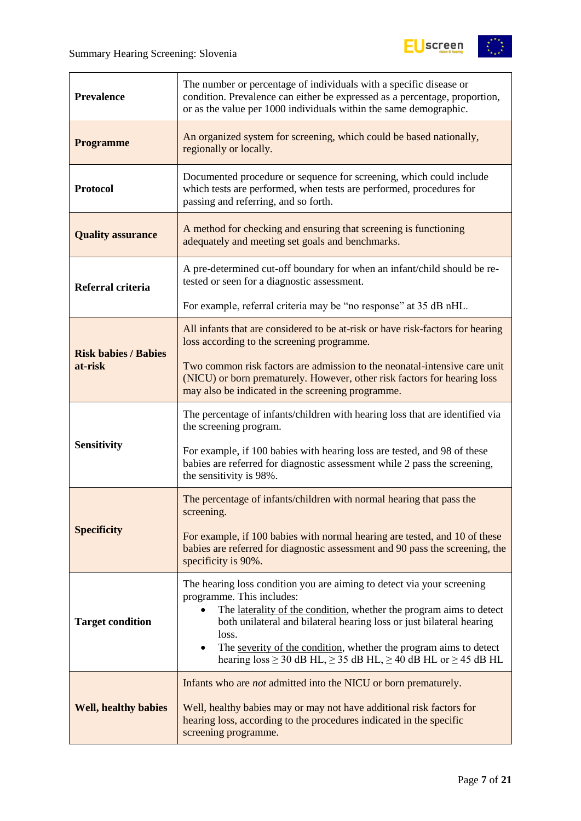

| <b>Prevalence</b>                                                                                                                                                                                                                                                            | The number or percentage of individuals with a specific disease or<br>condition. Prevalence can either be expressed as a percentage, proportion,<br>or as the value per 1000 individuals within the same demographic.                                                                                                                                                                                             |  |  |
|------------------------------------------------------------------------------------------------------------------------------------------------------------------------------------------------------------------------------------------------------------------------------|-------------------------------------------------------------------------------------------------------------------------------------------------------------------------------------------------------------------------------------------------------------------------------------------------------------------------------------------------------------------------------------------------------------------|--|--|
| <b>Programme</b>                                                                                                                                                                                                                                                             | An organized system for screening, which could be based nationally,<br>regionally or locally.                                                                                                                                                                                                                                                                                                                     |  |  |
| <b>Protocol</b>                                                                                                                                                                                                                                                              | Documented procedure or sequence for screening, which could include<br>which tests are performed, when tests are performed, procedures for<br>passing and referring, and so forth.                                                                                                                                                                                                                                |  |  |
| <b>Quality assurance</b>                                                                                                                                                                                                                                                     | A method for checking and ensuring that screening is functioning<br>adequately and meeting set goals and benchmarks.                                                                                                                                                                                                                                                                                              |  |  |
| Referral criteria                                                                                                                                                                                                                                                            | A pre-determined cut-off boundary for when an infant/child should be re-<br>tested or seen for a diagnostic assessment.                                                                                                                                                                                                                                                                                           |  |  |
|                                                                                                                                                                                                                                                                              | For example, referral criteria may be "no response" at 35 dB nHL.                                                                                                                                                                                                                                                                                                                                                 |  |  |
| <b>Risk babies / Babies</b>                                                                                                                                                                                                                                                  | All infants that are considered to be at-risk or have risk-factors for hearing<br>loss according to the screening programme.                                                                                                                                                                                                                                                                                      |  |  |
| at-risk                                                                                                                                                                                                                                                                      | Two common risk factors are admission to the neonatal-intensive care unit<br>(NICU) or born prematurely. However, other risk factors for hearing loss<br>may also be indicated in the screening programme.                                                                                                                                                                                                        |  |  |
|                                                                                                                                                                                                                                                                              | The percentage of infants/children with hearing loss that are identified via<br>the screening program.                                                                                                                                                                                                                                                                                                            |  |  |
| <b>Sensitivity</b>                                                                                                                                                                                                                                                           | For example, if 100 babies with hearing loss are tested, and 98 of these<br>babies are referred for diagnostic assessment while 2 pass the screening,<br>the sensitivity is 98%.                                                                                                                                                                                                                                  |  |  |
|                                                                                                                                                                                                                                                                              | The percentage of infants/children with normal hearing that pass the<br>screening.                                                                                                                                                                                                                                                                                                                                |  |  |
| <b>Specificity</b>                                                                                                                                                                                                                                                           | For example, if 100 babies with normal hearing are tested, and 10 of these<br>babies are referred for diagnostic assessment and 90 pass the screening, the<br>specificity is 90%.                                                                                                                                                                                                                                 |  |  |
| <b>Target condition</b>                                                                                                                                                                                                                                                      | The hearing loss condition you are aiming to detect via your screening<br>programme. This includes:<br>The laterality of the condition, whether the program aims to detect<br>both unilateral and bilateral hearing loss or just bilateral hearing<br>loss.<br>The severity of the condition, whether the program aims to detect<br>hearing $loss \ge 30$ dB HL, $\ge 35$ dB HL, $\ge 40$ dB HL or $\ge 45$ dB HL |  |  |
| Infants who are <i>not</i> admitted into the NICU or born prematurely.<br><b>Well, healthy babies</b><br>Well, healthy babies may or may not have additional risk factors for<br>hearing loss, according to the procedures indicated in the specific<br>screening programme. |                                                                                                                                                                                                                                                                                                                                                                                                                   |  |  |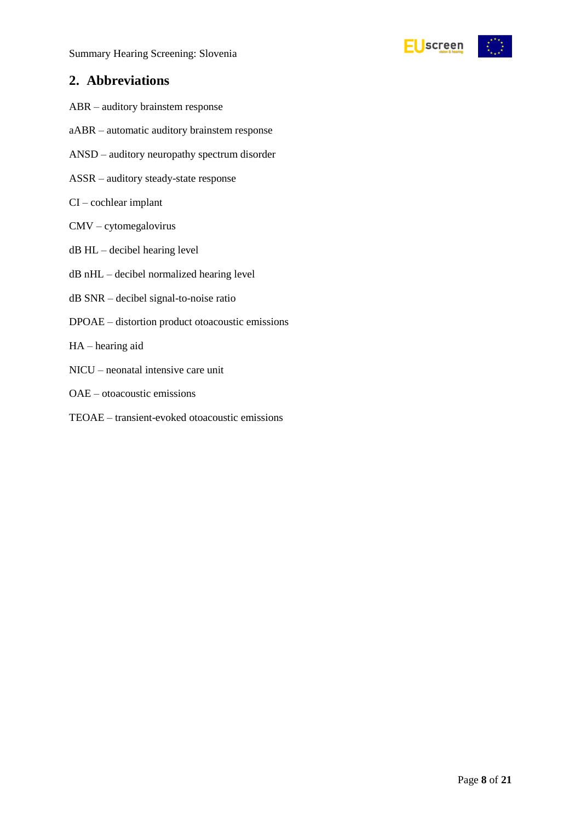

# <span id="page-7-0"></span>**2. Abbreviations**

- ABR auditory brainstem response
- aABR automatic auditory brainstem response
- ANSD auditory neuropathy spectrum disorder
- ASSR auditory steady-state response
- CI cochlear implant
- CMV cytomegalovirus
- dB HL decibel hearing level
- dB nHL decibel normalized hearing level
- dB SNR decibel signal-to-noise ratio
- DPOAE distortion product otoacoustic emissions
- HA hearing aid
- NICU neonatal intensive care unit
- OAE otoacoustic emissions
- TEOAE transient-evoked otoacoustic emissions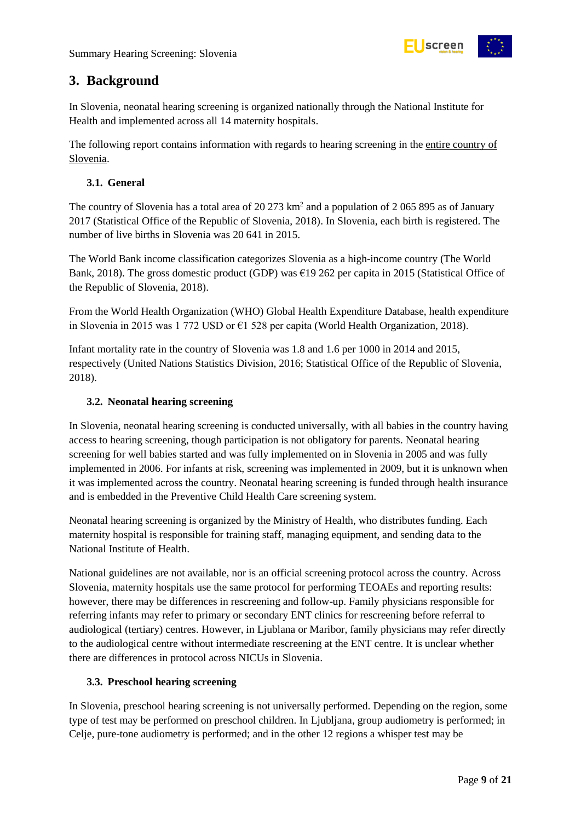

# <span id="page-8-0"></span>**3. Background**

In Slovenia, neonatal hearing screening is organized nationally through the National Institute for Health and implemented across all 14 maternity hospitals.

The following report contains information with regards to hearing screening in the entire country of Slovenia.

# <span id="page-8-1"></span>**3.1. General**

The country of Slovenia has a total area of 20 273 km<sup>2</sup> and a population of 2 065 895 as of January 2017 (Statistical Office of the Republic of Slovenia, 2018). In Slovenia, each birth is registered. The number of live births in Slovenia was 20 641 in 2015.

The World Bank income classification categorizes Slovenia as a high-income country (The World Bank, 2018). The gross domestic product (GDP) was €19 262 per capita in 2015 (Statistical Office of the Republic of Slovenia, 2018).

From the World Health Organization (WHO) Global Health Expenditure Database, health expenditure in Slovenia in 2015 was 1 772 USD or €1 528 per capita (World Health Organization, 2018).

Infant mortality rate in the country of Slovenia was 1.8 and 1.6 per 1000 in 2014 and 2015, respectively (United Nations Statistics Division, 2016; Statistical Office of the Republic of Slovenia, 2018).

# <span id="page-8-2"></span>**3.2. Neonatal hearing screening**

In Slovenia, neonatal hearing screening is conducted universally, with all babies in the country having access to hearing screening, though participation is not obligatory for parents. Neonatal hearing screening for well babies started and was fully implemented on in Slovenia in 2005 and was fully implemented in 2006. For infants at risk, screening was implemented in 2009, but it is unknown when it was implemented across the country. Neonatal hearing screening is funded through health insurance and is embedded in the Preventive Child Health Care screening system.

Neonatal hearing screening is organized by the Ministry of Health, who distributes funding. Each maternity hospital is responsible for training staff, managing equipment, and sending data to the National Institute of Health.

National guidelines are not available, nor is an official screening protocol across the country. Across Slovenia, maternity hospitals use the same protocol for performing TEOAEs and reporting results: however, there may be differences in rescreening and follow-up. Family physicians responsible for referring infants may refer to primary or secondary ENT clinics for rescreening before referral to audiological (tertiary) centres. However, in Ljublana or Maribor, family physicians may refer directly to the audiological centre without intermediate rescreening at the ENT centre. It is unclear whether there are differences in protocol across NICUs in Slovenia.

### <span id="page-8-3"></span>**3.3. Preschool hearing screening**

In Slovenia, preschool hearing screening is not universally performed. Depending on the region, some type of test may be performed on preschool children. In Ljubljana, group audiometry is performed; in Celje, pure-tone audiometry is performed; and in the other 12 regions a whisper test may be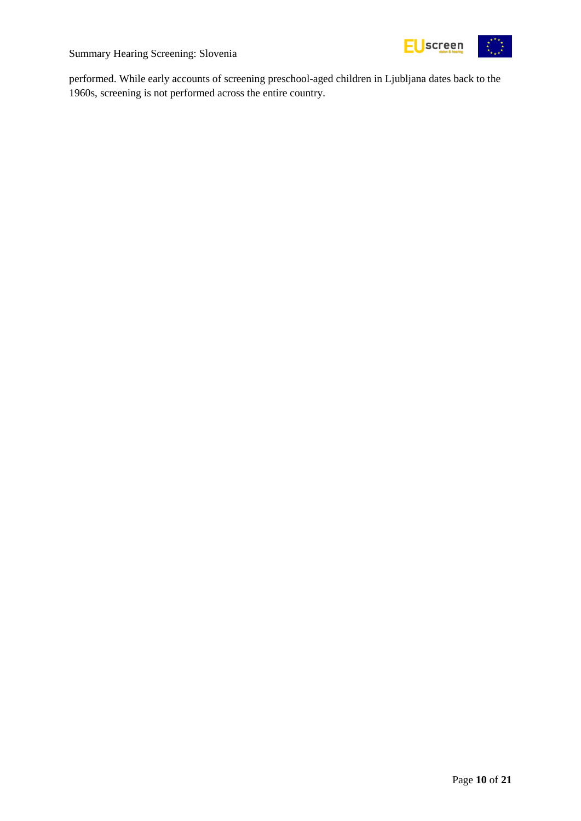

performed. While early accounts of screening preschool-aged children in Ljubljana dates back to the 1960s, screening is not performed across the entire country.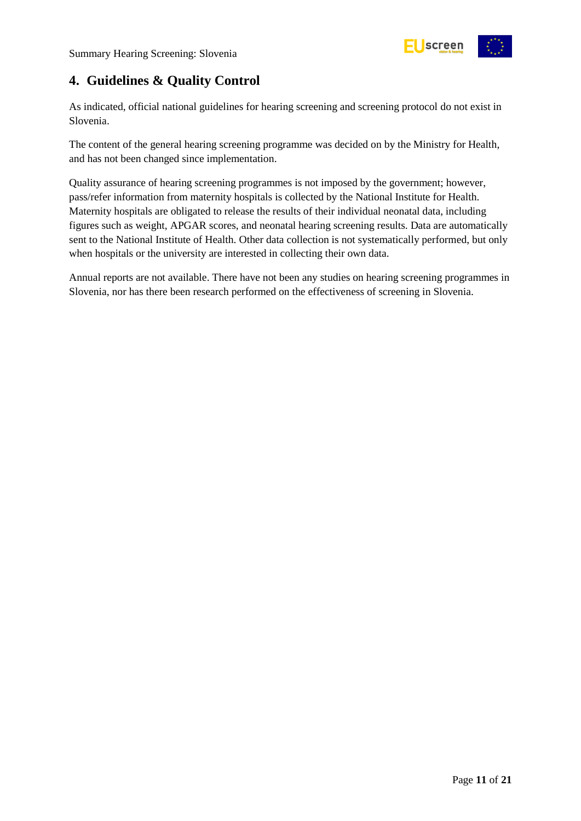

# <span id="page-10-0"></span>**4. Guidelines & Quality Control**

As indicated, official national guidelines for hearing screening and screening protocol do not exist in Slovenia.

The content of the general hearing screening programme was decided on by the Ministry for Health, and has not been changed since implementation.

Quality assurance of hearing screening programmes is not imposed by the government; however, pass/refer information from maternity hospitals is collected by the National Institute for Health. Maternity hospitals are obligated to release the results of their individual neonatal data, including figures such as weight, APGAR scores, and neonatal hearing screening results. Data are automatically sent to the National Institute of Health. Other data collection is not systematically performed, but only when hospitals or the university are interested in collecting their own data.

Annual reports are not available. There have not been any studies on hearing screening programmes in Slovenia, nor has there been research performed on the effectiveness of screening in Slovenia.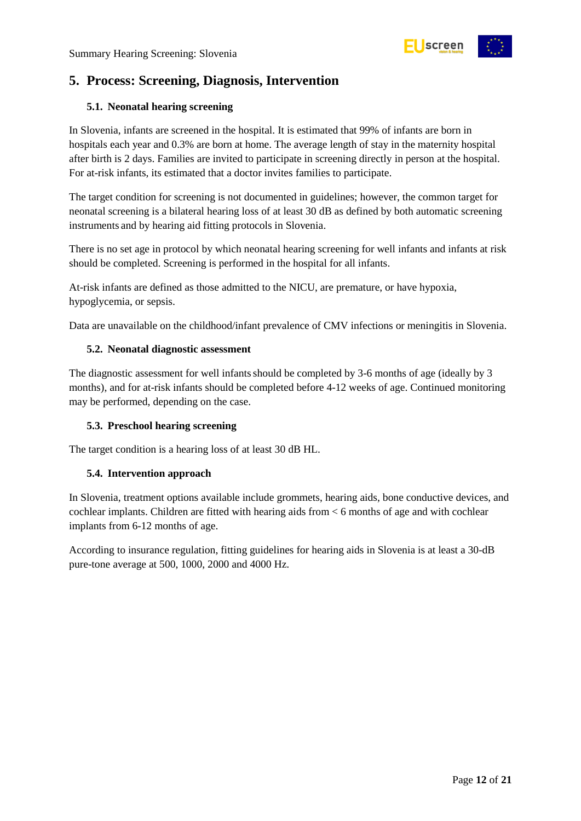

# <span id="page-11-0"></span>**5. Process: Screening, Diagnosis, Intervention**

### <span id="page-11-1"></span>**5.1. Neonatal hearing screening**

In Slovenia, infants are screened in the hospital. It is estimated that 99% of infants are born in hospitals each year and 0.3% are born at home. The average length of stay in the maternity hospital after birth is 2 days. Families are invited to participate in screening directly in person at the hospital. For at-risk infants, its estimated that a doctor invites families to participate.

The target condition for screening is not documented in guidelines; however, the common target for neonatal screening is a bilateral hearing loss of at least 30 dB as defined by both automatic screening instruments and by hearing aid fitting protocols in Slovenia.

There is no set age in protocol by which neonatal hearing screening for well infants and infants at risk should be completed. Screening is performed in the hospital for all infants.

At-risk infants are defined as those admitted to the NICU, are premature, or have hypoxia, hypoglycemia, or sepsis.

Data are unavailable on the childhood/infant prevalence of CMV infections or meningitis in Slovenia.

### <span id="page-11-2"></span>**5.2. Neonatal diagnostic assessment**

The diagnostic assessment for well infants should be completed by 3-6 months of age (ideally by 3 months), and for at-risk infants should be completed before 4-12 weeks of age. Continued monitoring may be performed, depending on the case.

### <span id="page-11-3"></span>**5.3. Preschool hearing screening**

The target condition is a hearing loss of at least 30 dB HL.

### <span id="page-11-4"></span>**5.4. Intervention approach**

In Slovenia, treatment options available include grommets, hearing aids, bone conductive devices, and cochlear implants. Children are fitted with hearing aids from < 6 months of age and with cochlear implants from 6-12 months of age.

According to insurance regulation, fitting guidelines for hearing aids in Slovenia is at least a 30-dB pure-tone average at 500, 1000, 2000 and 4000 Hz.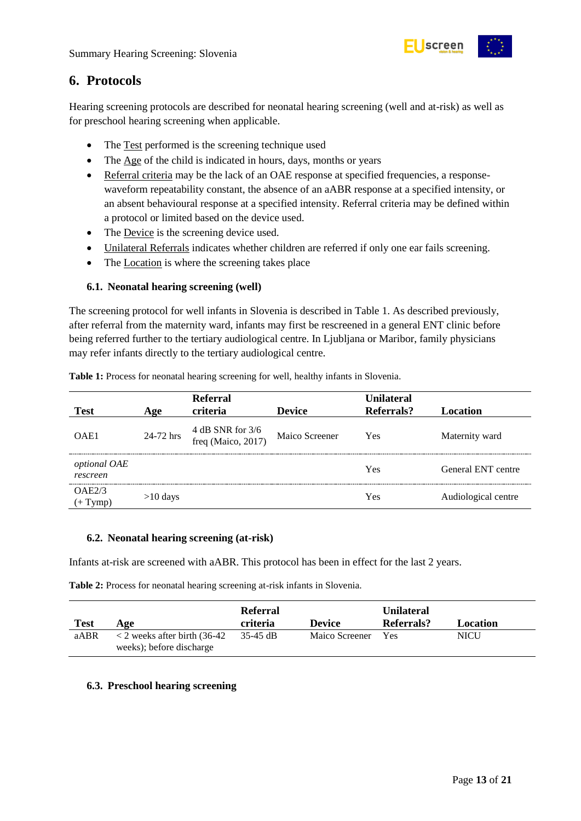

# <span id="page-12-0"></span>**6. Protocols**

Hearing screening protocols are described for neonatal hearing screening (well and at-risk) as well as for preschool hearing screening when applicable.

- The Test performed is the screening technique used
- The Age of the child is indicated in hours, days, months or years
- Referral criteria may be the lack of an OAE response at specified frequencies, a responsewaveform repeatability constant, the absence of an aABR response at a specified intensity, or an absent behavioural response at a specified intensity. Referral criteria may be defined within a protocol or limited based on the device used.
- The Device is the screening device used.
- Unilateral Referrals indicates whether children are referred if only one ear fails screening.
- The Location is where the screening takes place

### <span id="page-12-1"></span>**6.1. Neonatal hearing screening (well)**

The screening protocol for well infants in Slovenia is described in Table 1. As described previously, after referral from the maternity ward, infants may first be rescreened in a general ENT clinic before being referred further to the tertiary audiological centre. In Ljubljana or Maribor, family physicians may refer infants directly to the tertiary audiological centre.

|                          |            | Referral                               |                | <b>Unilateral</b> |                     |
|--------------------------|------------|----------------------------------------|----------------|-------------------|---------------------|
| <b>Test</b>              | Age        | criteria                               | <b>Device</b>  | Referrals?        | Location            |
| OAE1                     | 24-72 hrs  | 4 dB SNR for 3/6<br>freq (Maico, 2017) | Maico Screener | Yes               | Maternity ward      |
| optional OAE<br>rescreen |            |                                        |                | Yes               | General ENT centre  |
| OAE2/3<br>$(+$ Tymp)     | $>10$ days |                                        |                | Yes               | Audiological centre |

<span id="page-12-4"></span>**Table 1:** Process for neonatal hearing screening for well, healthy infants in Slovenia.

#### <span id="page-12-2"></span>**6.2. Neonatal hearing screening (at-risk)**

Infants at-risk are screened with aABR. This protocol has been in effect for the last 2 years.

<span id="page-12-5"></span>**Table 2:** Process for neonatal hearing screening at-risk infants in Slovenia.

| <b>Test</b> | Age                                                              | <b>Referral</b><br>criteria | <b>Device</b>  | <b>Unilateral</b><br>Referrals? | Location |
|-------------|------------------------------------------------------------------|-----------------------------|----------------|---------------------------------|----------|
| aABR        | $\langle$ 2 weeks after birth (36-42<br>weeks); before discharge | 35-45 dB                    | Maico Screener | Yes                             | NICU     |

#### <span id="page-12-3"></span>**6.3. Preschool hearing screening**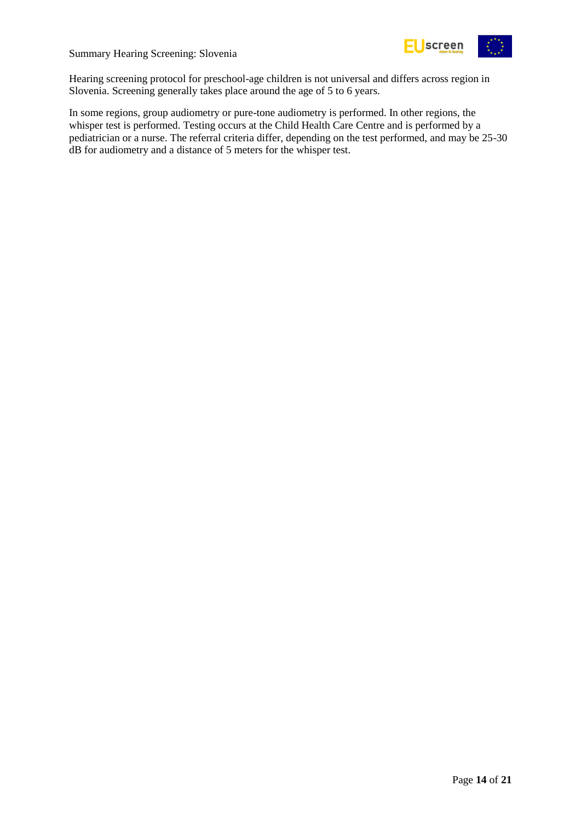

Hearing screening protocol for preschool-age children is not universal and differs across region in Slovenia. Screening generally takes place around the age of 5 to 6 years.

In some regions, group audiometry or pure-tone audiometry is performed. In other regions, the whisper test is performed. Testing occurs at the Child Health Care Centre and is performed by a pediatrician or a nurse. The referral criteria differ, depending on the test performed, and may be 25-30 dB for audiometry and a distance of 5 meters for the whisper test.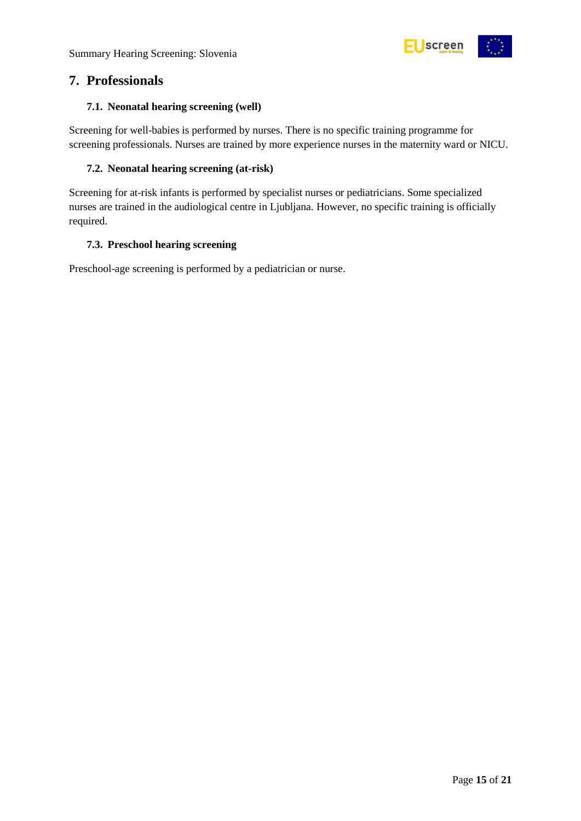

# <span id="page-14-0"></span>**7. Professionals**

# <span id="page-14-1"></span>**7.1. Neonatal hearing screening (well)**

Screening for well-babies is performed by nurses. There is no specific training programme for screening professionals. Nurses are trained by more experience nurses in the maternity ward or NICU.

# <span id="page-14-2"></span>**7.2. Neonatal hearing screening (at-risk)**

Screening for at-risk infants is performed by specialist nurses or pediatricians. Some specialized nurses are trained in the audiological centre in Ljubljana. However, no specific training is officially required.

# <span id="page-14-3"></span>**7.3. Preschool hearing screening**

Preschool-age screening is performed by a pediatrician or nurse.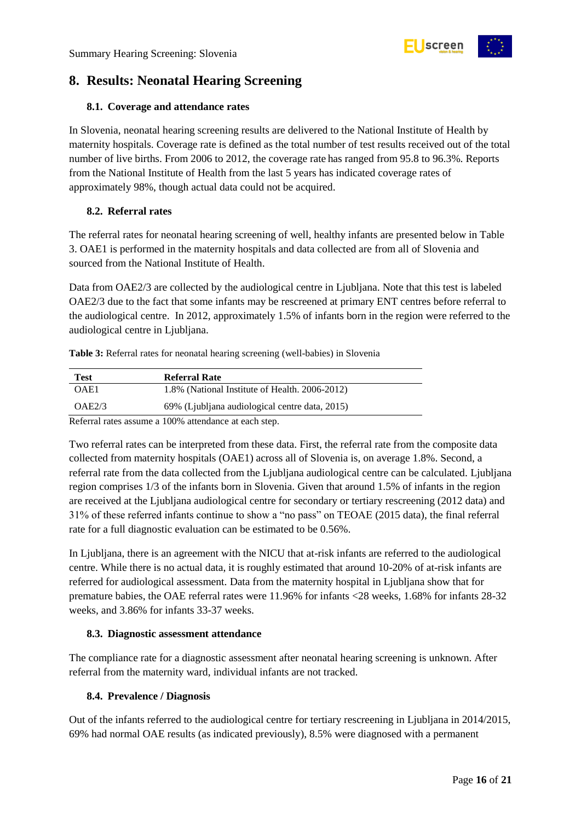

# <span id="page-15-0"></span>**8. Results: Neonatal Hearing Screening**

# <span id="page-15-1"></span>**8.1. Coverage and attendance rates**

In Slovenia, neonatal hearing screening results are delivered to the National Institute of Health by maternity hospitals. Coverage rate is defined as the total number of test results received out of the total number of live births. From 2006 to 2012, the coverage rate has ranged from 95.8 to 96.3%. Reports from the National Institute of Health from the last 5 years has indicated coverage rates of approximately 98%, though actual data could not be acquired.

# <span id="page-15-2"></span>**8.2. Referral rates**

The referral rates for neonatal hearing screening of well, healthy infants are presented below in Table 3. OAE1 is performed in the maternity hospitals and data collected are from all of Slovenia and sourced from the National Institute of Health.

Data from OAE2/3 are collected by the audiological centre in Ljubljana. Note that this test is labeled OAE2/3 due to the fact that some infants may be rescreened at primary ENT centres before referral to the audiological centre. In 2012, approximately 1.5% of infants born in the region were referred to the audiological centre in Ljubljana.

<span id="page-15-5"></span>**Table 3:** Referral rates for neonatal hearing screening (well-babies) in Slovenia

| <b>Test</b> | Referral Rate                                        |  |
|-------------|------------------------------------------------------|--|
| OAE1        | 1.8% (National Institute of Health. 2006-2012)       |  |
| OAE2/3      | 69% (Ljubljana audiological centre data, 2015)       |  |
|             | Referred rates assume a 100% attendance at each stap |  |

Referral rates assume a 100% attendance at each step.

Two referral rates can be interpreted from these data. First, the referral rate from the composite data collected from maternity hospitals (OAE1) across all of Slovenia is, on average 1.8%. Second, a referral rate from the data collected from the Ljubljana audiological centre can be calculated. Ljubljana region comprises 1/3 of the infants born in Slovenia. Given that around 1.5% of infants in the region are received at the Ljubljana audiological centre for secondary or tertiary rescreening (2012 data) and 31% of these referred infants continue to show a "no pass" on TEOAE (2015 data), the final referral rate for a full diagnostic evaluation can be estimated to be 0.56%.

In Ljubljana, there is an agreement with the NICU that at-risk infants are referred to the audiological centre. While there is no actual data, it is roughly estimated that around 10-20% of at-risk infants are referred for audiological assessment. Data from the maternity hospital in Ljubljana show that for premature babies, the OAE referral rates were 11.96% for infants <28 weeks, 1.68% for infants 28-32 weeks, and 3.86% for infants 33-37 weeks.

### <span id="page-15-3"></span>**8.3. Diagnostic assessment attendance**

The compliance rate for a diagnostic assessment after neonatal hearing screening is unknown. After referral from the maternity ward, individual infants are not tracked.

# <span id="page-15-4"></span>**8.4. Prevalence / Diagnosis**

Out of the infants referred to the audiological centre for tertiary rescreening in Ljubljana in 2014/2015, 69% had normal OAE results (as indicated previously), 8.5% were diagnosed with a permanent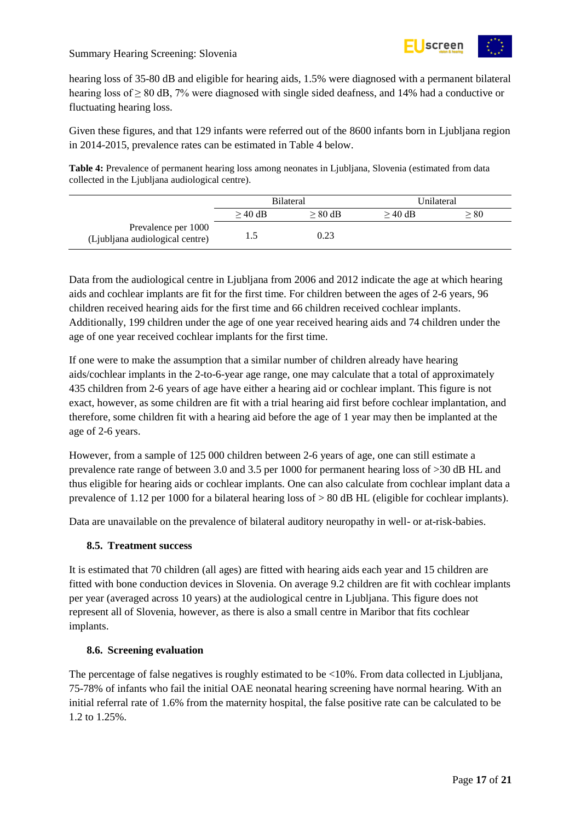

hearing loss of 35-80 dB and eligible for hearing aids, 1.5% were diagnosed with a permanent bilateral hearing loss of ≥ 80 dB, 7% were diagnosed with single sided deafness, and 14% had a conductive or fluctuating hearing loss.

Given these figures, and that 129 infants were referred out of the 8600 infants born in Ljubljana region in 2014-2015, prevalence rates can be estimated in Table 4 below.

<span id="page-16-2"></span>**Table 4:** Prevalence of permanent hearing loss among neonates in Ljubljana, Slovenia (estimated from data collected in the Ljubljana audiological centre).

|                                                        | Bilateral |           | Unilateral |      |
|--------------------------------------------------------|-----------|-----------|------------|------|
|                                                        | $>$ 40 dB | $> 80$ dB | $>40$ dB   | > 80 |
| Prevalence per 1000<br>(Ljubljana audiological centre) | 1.5       | 0.23      |            |      |

Data from the audiological centre in Ljubljana from 2006 and 2012 indicate the age at which hearing aids and cochlear implants are fit for the first time. For children between the ages of 2-6 years, 96 children received hearing aids for the first time and 66 children received cochlear implants. Additionally, 199 children under the age of one year received hearing aids and 74 children under the age of one year received cochlear implants for the first time.

If one were to make the assumption that a similar number of children already have hearing aids/cochlear implants in the 2-to-6-year age range, one may calculate that a total of approximately 435 children from 2-6 years of age have either a hearing aid or cochlear implant. This figure is not exact, however, as some children are fit with a trial hearing aid first before cochlear implantation, and therefore, some children fit with a hearing aid before the age of 1 year may then be implanted at the age of 2-6 years.

However, from a sample of 125 000 children between 2-6 years of age, one can still estimate a prevalence rate range of between 3.0 and 3.5 per 1000 for permanent hearing loss of >30 dB HL and thus eligible for hearing aids or cochlear implants. One can also calculate from cochlear implant data a prevalence of 1.12 per 1000 for a bilateral hearing loss of  $> 80$  dB HL (eligible for cochlear implants).

Data are unavailable on the prevalence of bilateral auditory neuropathy in well- or at-risk-babies.

### <span id="page-16-0"></span>**8.5. Treatment success**

It is estimated that 70 children (all ages) are fitted with hearing aids each year and 15 children are fitted with bone conduction devices in Slovenia. On average 9.2 children are fit with cochlear implants per year (averaged across 10 years) at the audiological centre in Ljubljana. This figure does not represent all of Slovenia, however, as there is also a small centre in Maribor that fits cochlear implants.

#### <span id="page-16-1"></span>**8.6. Screening evaluation**

The percentage of false negatives is roughly estimated to be <10%. From data collected in Ljubljana, 75-78% of infants who fail the initial OAE neonatal hearing screening have normal hearing. With an initial referral rate of 1.6% from the maternity hospital, the false positive rate can be calculated to be 1.2 to 1.25%.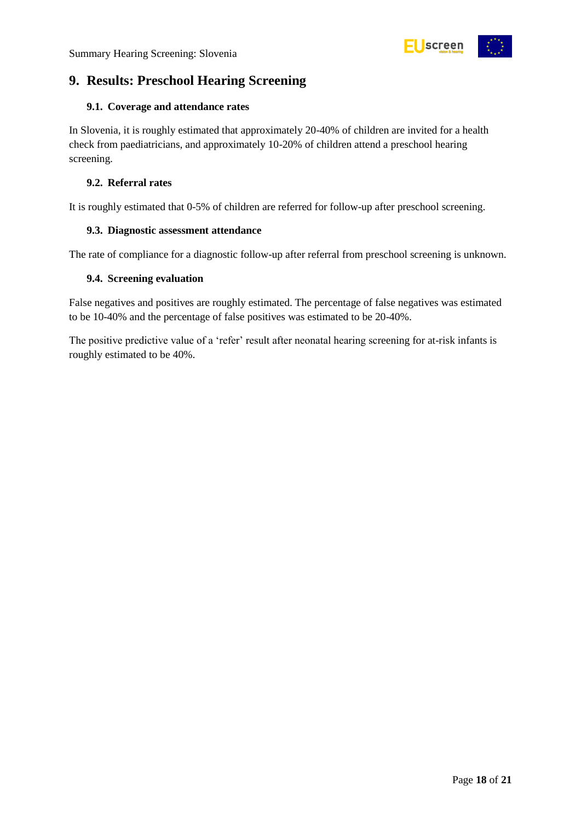

# <span id="page-17-0"></span>**9. Results: Preschool Hearing Screening**

#### <span id="page-17-1"></span>**9.1. Coverage and attendance rates**

In Slovenia, it is roughly estimated that approximately 20-40% of children are invited for a health check from paediatricians, and approximately 10-20% of children attend a preschool hearing screening.

#### <span id="page-17-2"></span>**9.2. Referral rates**

It is roughly estimated that 0-5% of children are referred for follow-up after preschool screening.

#### <span id="page-17-3"></span>**9.3. Diagnostic assessment attendance**

The rate of compliance for a diagnostic follow-up after referral from preschool screening is unknown.

#### <span id="page-17-4"></span>**9.4. Screening evaluation**

False negatives and positives are roughly estimated. The percentage of false negatives was estimated to be 10-40% and the percentage of false positives was estimated to be 20-40%.

The positive predictive value of a 'refer' result after neonatal hearing screening for at-risk infants is roughly estimated to be 40%.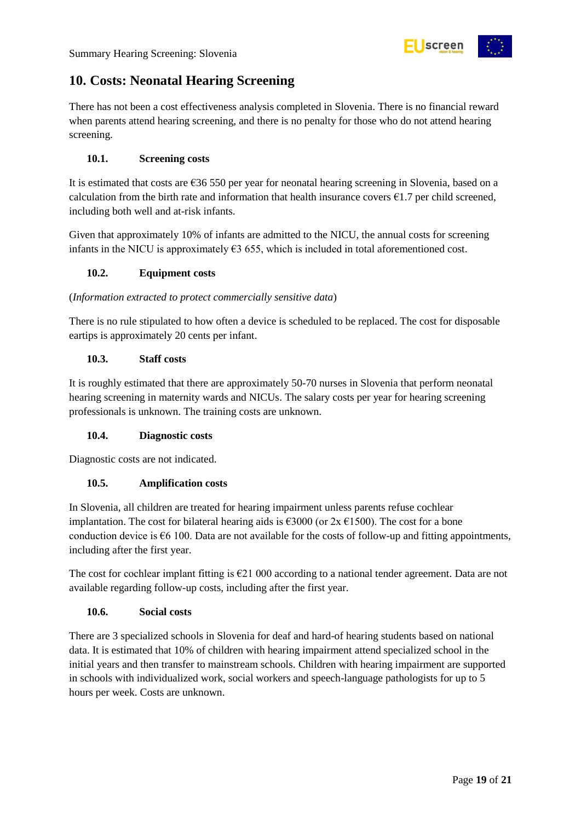

# <span id="page-18-0"></span>**10. Costs: Neonatal Hearing Screening**

There has not been a cost effectiveness analysis completed in Slovenia. There is no financial reward when parents attend hearing screening, and there is no penalty for those who do not attend hearing screening.

# <span id="page-18-1"></span>**10.1. Screening costs**

It is estimated that costs are  $636 550$  per year for neonatal hearing screening in Slovenia, based on a calculation from the birth rate and information that health insurance covers  $\epsilon$ 1.7 per child screened, including both well and at-risk infants.

Given that approximately 10% of infants are admitted to the NICU, the annual costs for screening infants in the NICU is approximately  $63$  655, which is included in total aforementioned cost.

### <span id="page-18-2"></span>**10.2. Equipment costs**

#### (*Information extracted to protect commercially sensitive data*)

There is no rule stipulated to how often a device is scheduled to be replaced. The cost for disposable eartips is approximately 20 cents per infant.

### <span id="page-18-3"></span>**10.3. Staff costs**

It is roughly estimated that there are approximately 50-70 nurses in Slovenia that perform neonatal hearing screening in maternity wards and NICUs. The salary costs per year for hearing screening professionals is unknown. The training costs are unknown.

### <span id="page-18-4"></span>**10.4. Diagnostic costs**

Diagnostic costs are not indicated.

### <span id="page-18-5"></span>**10.5. Amplification costs**

In Slovenia, all children are treated for hearing impairment unless parents refuse cochlear implantation. The cost for bilateral hearing aids is  $\epsilon$ 3000 (or 2x  $\epsilon$ 1500). The cost for a bone conduction device is  $66$  100. Data are not available for the costs of follow-up and fitting appointments, including after the first year.

The cost for cochlear implant fitting is €21 000 according to a national tender agreement. Data are not available regarding follow-up costs, including after the first year.

### <span id="page-18-6"></span>**10.6. Social costs**

There are 3 specialized schools in Slovenia for deaf and hard-of hearing students based on national data. It is estimated that 10% of children with hearing impairment attend specialized school in the initial years and then transfer to mainstream schools. Children with hearing impairment are supported in schools with individualized work, social workers and speech-language pathologists for up to 5 hours per week. Costs are unknown.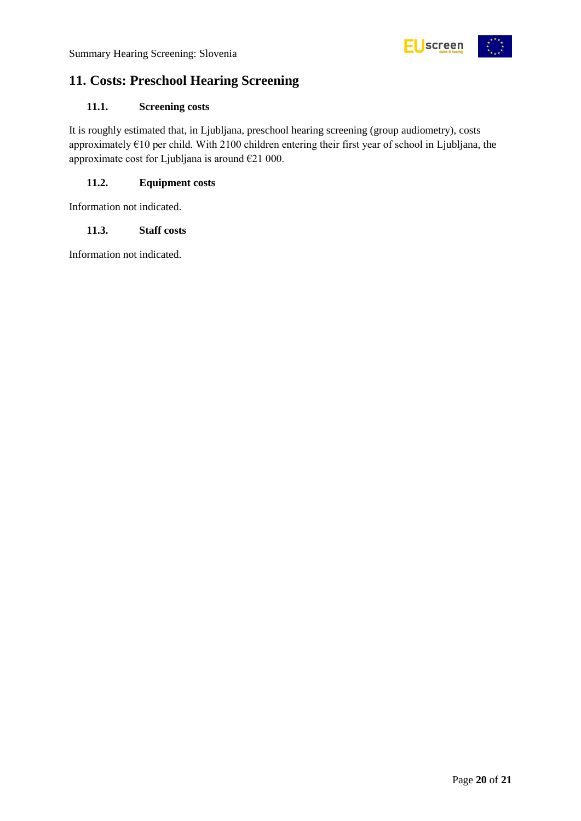

# <span id="page-19-0"></span>**11. Costs: Preschool Hearing Screening**

# <span id="page-19-1"></span>**11.1. Screening costs**

It is roughly estimated that, in Ljubljana, preschool hearing screening (group audiometry), costs approximately €10 per child. With 2100 children entering their first year of school in Ljubljana, the approximate cost for Ljubljana is around €21 000.

# <span id="page-19-2"></span>**11.2. Equipment costs**

Information not indicated.

# <span id="page-19-3"></span>**11.3. Staff costs**

Information not indicated.